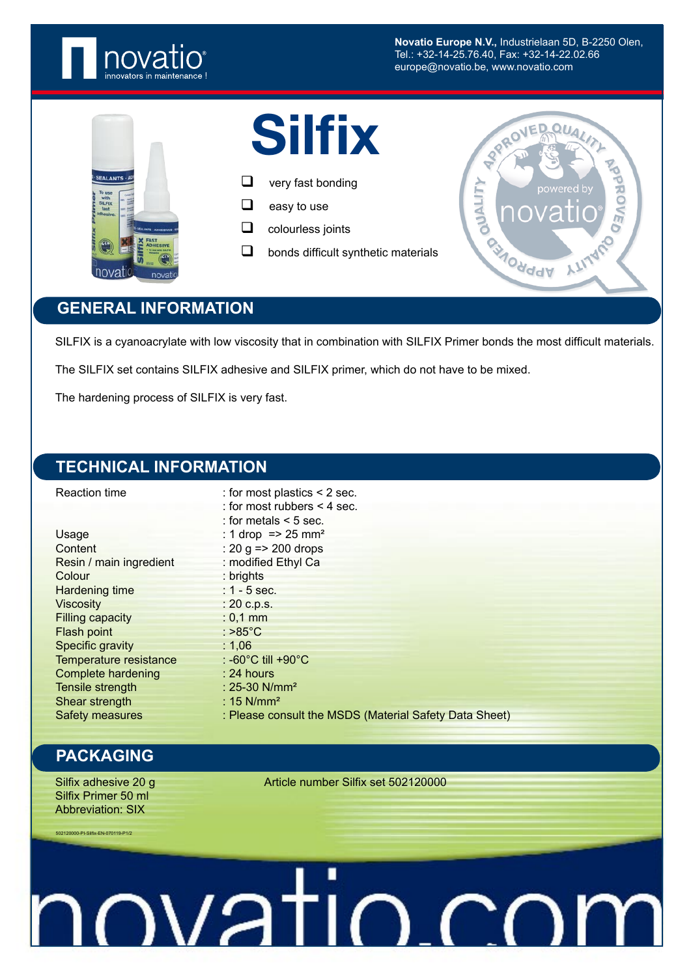

**Novatio Europe N.V.,** Industrielaan 5D, B-2250 Olen, Tel.: +32-14-25.76.40, Fax: +32-14-22.02.66 europe@novatio.be, www.novatio.com



# **Silfix**

- $\Box$  very fast bonding
- $\Box$  easy to use
- $\Box$  colourless joints
- $\Box$  bonds difficult synthetic materials



### **GENERAL INFORMATION**

SILFIX is a cyanoacrylate with low viscosity that in combination with SILFIX Primer bonds the most difficult materials.

The SILFIX set contains SILFIX adhesive and SILFIX primer, which do not have to be mixed.

The hardening process of SILFIX is very fast.

### **TECHNICAL INFORMATION**

| <b>Reaction time</b>      | : for most plastics $\leq$ 2 sec.                      |
|---------------------------|--------------------------------------------------------|
|                           | : for most rubbers $\leq 4$ sec.                       |
|                           | : for metals $<$ 5 sec.                                |
| Usage                     | : 1 drop = $> 25$ mm <sup>2</sup>                      |
| Content                   | : 20 g = $>$ 200 drops                                 |
| Resin / main ingredient   | : modified Ethyl Ca                                    |
| Colour                    | : brights                                              |
| <b>Hardening time</b>     | $: 1 - 5$ sec.                                         |
| <b>Viscosity</b>          | : 20 c.p.s.                                            |
| <b>Filling capacity</b>   | $: 0,1$ mm                                             |
| Flash point               | : $>85^{\circ}$ C                                      |
| Specific gravity          | : $1,06$                                               |
| Temperature resistance    | : -60°C till +90°C                                     |
| <b>Complete hardening</b> | $: 24$ hours                                           |
| Tensile strength          | : $25-30$ N/mm <sup>2</sup>                            |
| Shear strength            | : $15$ N/mm <sup>2</sup>                               |
| <b>Safety measures</b>    | : Please consult the MSDS (Material Safety Data Sheet) |

#### **PACKAGING**

Silfix Primer 50 ml Abbreviation: SIX

502120000-PI-Silfix-EN-070119-P1/2

Silfix adhesive 20 g Article number Silfix set 502120000

novatio.co